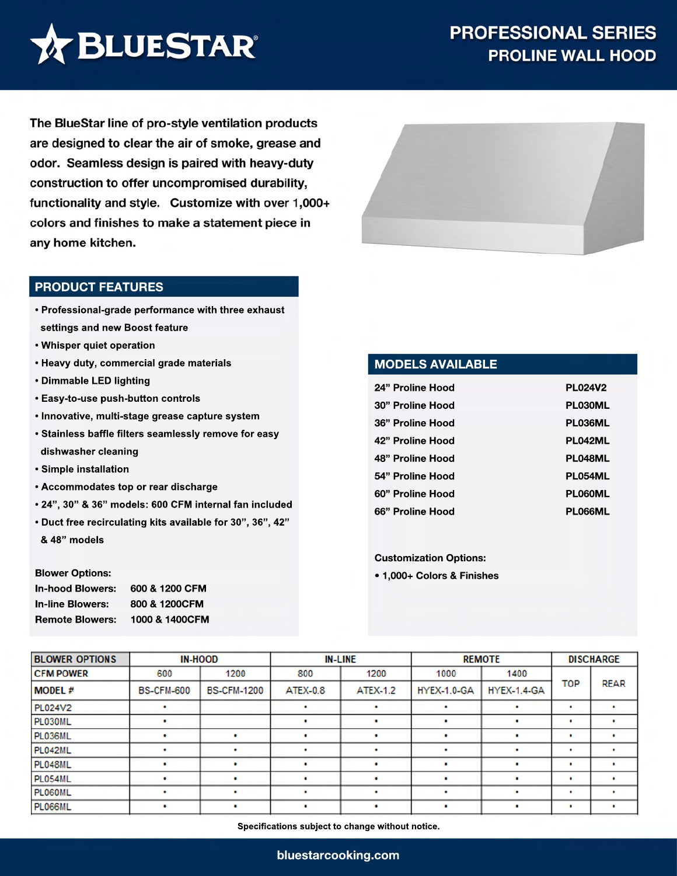

The BlueStar line of pro-style ventilation products are designed to clear the air of smoke, grease and odor. Seamless design is paired with heavy-duty construction to offer uncompromised durability, functionality and style. Customize with over 1,000+ colors and finishes to make a statement piece in any home kitchen.

#### **PRODUCT FEATURES**

- **Professional-grade performance with three exhaust settings and new Boost feature**
- **Whisper quiet operation**
- **Heavy duty, commercial grade materials**
- **Dimmable LED lighting**
- **Easy-to-use push-button controls**
- **Innovative, multi-stage grease capture system**
- **Stainless baffle filters seamlessly remove for easy dishwasher cleaning**
- **Simple installation**
- **Accommodates top or rear discharge**
- **24", 30" & 36" models: 600 CFM internal fan included**
- **Duct free recirculating kits available for 30", 36", 42" & 48" models**

#### **Blower Options:**

| <b>In-hood Blowers:</b> | 600 & 1200 CFM |
|-------------------------|----------------|
| <b>In-line Blowers:</b> | 800 & 1200CFM  |
| <b>Remote Blowers:</b>  | 1000 & 1400CFM |



### **MODELS AVAILABLE**

| 24" Proline Hood | <b>PL024V2</b> |
|------------------|----------------|
| 30" Proline Hood | <b>PL030ML</b> |
| 36" Proline Hood | <b>PL036ML</b> |
| 42" Proline Hood | <b>PL042ML</b> |
| 48" Proline Hood | PL048ML        |
| 54" Proline Hood | PL054ML        |
| 60" Proline Hood | PL060ML        |
| 66" Proline Hood | <b>PLO66ML</b> |

#### **Customization Options:**

**• 1,000+ Colors & Finishes**

| <b>BLOWER OPTIONS</b> |                   | <b>IN-HOOD</b>     |                 | <b>IN-LINE</b>  |                    | <b>REMOTE</b>      |            | <b>DISCHARGE</b> |
|-----------------------|-------------------|--------------------|-----------------|-----------------|--------------------|--------------------|------------|------------------|
| <b>CFM POWER</b>      | 600               | 1200               | 800             | 1200            | 1000               | 1400               |            |                  |
| <b>MODEL#</b>         | <b>BS-CFM-600</b> | <b>BS-CFM-1200</b> | <b>ATEX-0.8</b> | <b>ATEX-1.2</b> | <b>HYEX-1.0-GA</b> | <b>HYEX-1.4-GA</b> | <b>TOP</b> | <b>REAR</b>      |
| PL024V2               |                   |                    |                 | ٠               |                    | ٠                  | ٠          |                  |
| PL030ML               |                   |                    |                 |                 |                    |                    | ٠          |                  |
| PL036ML               |                   |                    |                 |                 |                    |                    | ٠          |                  |
| PL042ML               | ٠                 |                    | ٠               | ٠               |                    | ٠                  | ٠          |                  |
| PL048ML               | ٠                 | ٠                  | ٠               | ٠               | $\bullet$          | ٠                  | ٠          |                  |
| PL054ML               |                   |                    |                 | ٠               |                    |                    | ٠          |                  |
| <b>PL060ML</b>        |                   |                    |                 |                 |                    |                    | ٠          |                  |
| <b>PL066ML</b>        | ٠                 |                    | ٠               | ٠               | ٠                  | ٠                  | $\bullet$  |                  |

**Specifications subject to change without notice.**